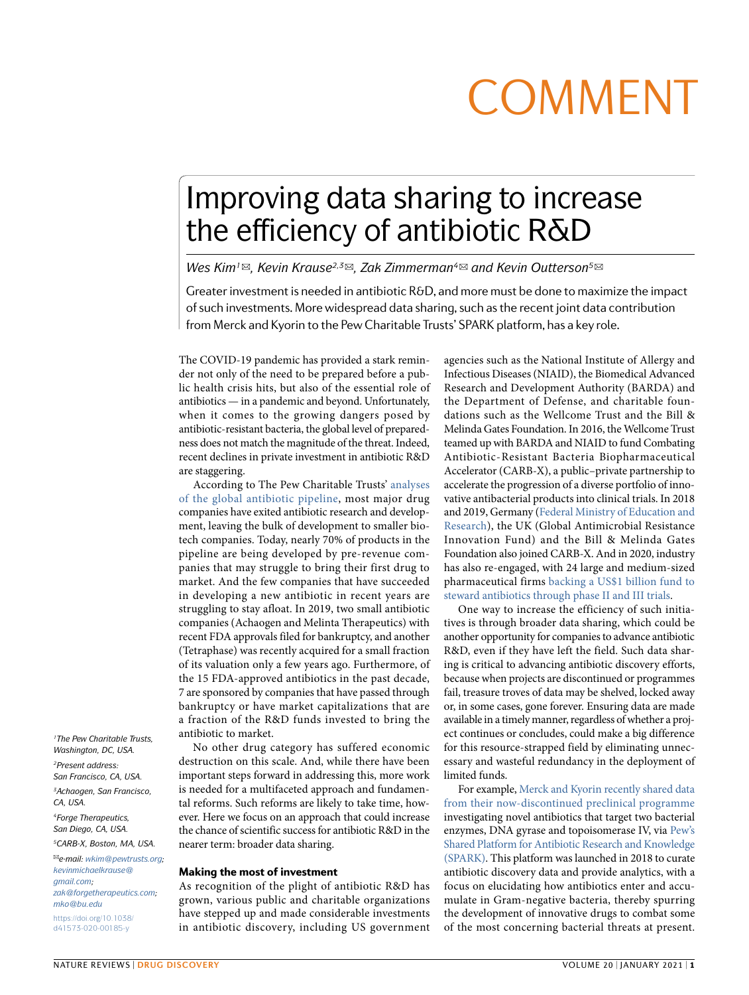# **COMMENT**

## Improving data sharing to increase the efficiency of antibiotic R&D

*Wes Kim1*✉*, Kevin Krause2,3*✉*, Zak Zimmerman4*✉ *and Kevin Outterson5*✉

Greater investment is needed in antibiotic R&D, and more must be done to maximize the impact of such investments. More widespread data sharing, such as the recent joint data contribution from Merck and Kyorin to the Pew Charitable Trusts' SPARK platform, has a key role.

The COVID-19 pandemic has provided a stark reminder not only of the need to be prepared before a public health crisis hits, but also of the essential role of antibiotics — in a pandemic and beyond. Unfortunately, when it comes to the growing dangers posed by antibiotic-resistant bacteria, the global level of preparedness does not match the magnitude of the threat. Indeed, recent declines in private investment in antibiotic R&D are staggering.

According to The Pew Charitable Trusts' [analyses](https://www.pewtrusts.org/en/research-and-analysis/data-visualizations/2014/antibiotics-currently-in-clinical-development) of the global [antibiotic](https://www.pewtrusts.org/en/research-and-analysis/data-visualizations/2014/antibiotics-currently-in-clinical-development) pipeline, most major drug companies have exited antibiotic research and development, leaving the bulk of development to smaller biotech companies. Today, nearly 70% of products in the pipeline are being developed by pre-revenue companies that may struggle to bring their first drug to market. And the few companies that have succeeded in developing a new antibiotic in recent years are struggling to stay afloat. In 2019, two small antibiotic companies (Achaogen and Melinta Therapeutics) with recent FDA approvals filed for bankruptcy, and another (Tetraphase) was recently acquired for a small fraction of its valuation only a few years ago. Furthermore, of the 15 FDA-approved antibiotics in the past decade, 7 are sponsored by companies that have passed through bankruptcy or have market capitalizations that are a fraction of the R&D funds invested to bring the antibiotic to market.

No other drug category has suffered economic destruction on this scale. And, while there have been important steps forward in addressing this, more work is needed for a multifaceted approach and fundamental reforms. Such reforms are likely to take time, however. Here we focus on an approach that could increase the chance of scientific success for antibiotic R&D in the nearer term: broader data sharing.

## Making the most of investment

As recognition of the plight of antibiotic R&D has grown, various public and charitable organizations have stepped up and made considerable investments in antibiotic discovery, including US government agencies such as the National Institute of Allergy and Infectious Diseases (NIAID), the Biomedical Advanced Research and Development Authority (BARDA) and the Department of Defense, and charitable foundations such as the Wellcome Trust and the Bill & Melinda Gates Foundation. In 2016, the Wellcome Trust teamed up with BARDA and NIAID to fund Combating Antibiotic-Resistant Bacteria Biopharmaceutical Accelerator (CARB-X), a public–private partnership to accelerate the progression of a diverse portfolio of innovative antibacterial products into clinical trials. In 2018 and 2019, Germany (Federal Ministry of [Education](https://www.bmbf.de/en/index.html) and [Research](https://www.bmbf.de/en/index.html)), the UK (Global Antimicrobial Resistance Innovation Fund) and the Bill & Melinda Gates Foundation also joined CARB-X. And in 2020, industry has also re-engaged, with 24 large and medium-sized pharmaceutical firms [backing](https://www.nature.com/articles/d41573-020-00143-8) a US\$1 billion fund to steward [antibiotics](https://www.nature.com/articles/d41573-020-00143-8) through phase II and III trials.

One way to increase the efficiency of such initiatives is through broader data sharing, which could be another opportunity for companies to advance antibiotic R&D, even if they have left the field. Such data sharing is critical to advancing antibiotic discovery efforts, because when projects are discontinued or programmes fail, treasure troves of data may be shelved, locked away or, in some cases, gone forever. Ensuring data are made available in a timely manner, regardless of whether a project continues or concludes, could make a big difference for this resource-strapped field by eliminating unnecessary and wasteful redundancy in the deployment of limited funds.

For example, Merck and Kyorin [recently](https://www.pewtrusts.org/en/about/news-room/press-releases-and-statements/2020/10/21/spark-pews-platform-for-antibiotic-discovery-research--receives-new-data-from-merck-and-kyorin) shared data from their [now-discontinued](https://www.pewtrusts.org/en/about/news-room/press-releases-and-statements/2020/10/21/spark-pews-platform-for-antibiotic-discovery-research--receives-new-data-from-merck-and-kyorin) preclinical programme investigating novel antibiotics that target two bacterial enzymes, DNA gyrase and topoisomerase IV, via [Pew's](https://www.pewtrusts.org/en/research-and-analysis/articles/2017/08/information-sharing-platform-to-fill-knowledge-gaps-impeding-antibiotic-innovation) Shared Platform for Antibiotic Research and [Knowledge](https://www.pewtrusts.org/en/research-and-analysis/articles/2017/08/information-sharing-platform-to-fill-knowledge-gaps-impeding-antibiotic-innovation) [\(SPARK\)](https://www.pewtrusts.org/en/research-and-analysis/articles/2017/08/information-sharing-platform-to-fill-knowledge-gaps-impeding-antibiotic-innovation). This platform was launched in 2018 to curate antibiotic discovery data and provide analytics, with a focus on elucidating how antibiotics enter and accumulate in Gram-negative bacteria, thereby spurring the development of innovative drugs to combat some of the most concerning bacterial threats at present.

*1The Pew Charitable Trusts, Washington, DC, USA. 2Present address: San Francisco, CA, USA. 3Achaogen, San Francisco, CA, USA. 4Forge Therapeutics, San Diego, CA, USA.*

*5CARB-X, Boston, MA, USA.*

✉*e-mail: [wkim@pewtrusts.org;](mailto:wkim@pewtrusts.org) [kevinmichaelkrause@](mailto:kevinmichaelkrause@
gmail.com) [gmail.com;](mailto:kevinmichaelkrause@
gmail.com) [zak@forgetherapeutics.com](mailto:zak@forgetherapeutics.com); [mko@bu.edu](mailto:mko@bu.edu)* [https://doi.org/10.1038/](https://doi.org/10.1038/d41573-020-00185-y) [d41573-020-00185-y](https://doi.org/10.1038/d41573-020-00185-y)